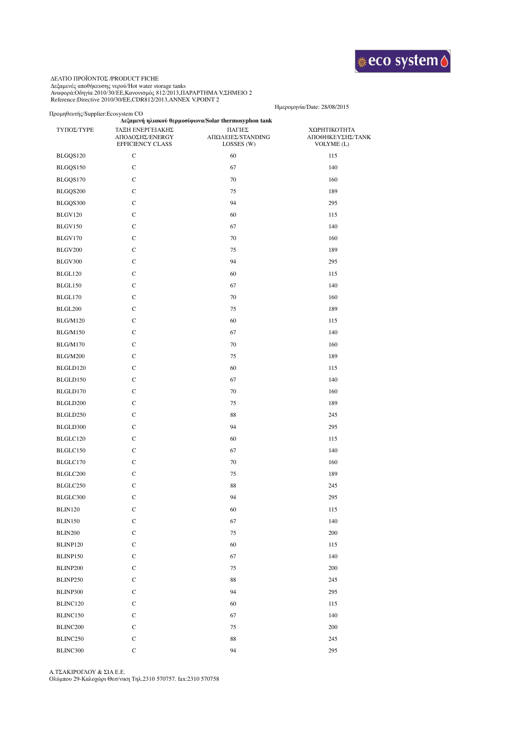

## ΔΕΛΤΙΟ ΠΡΟΙΟΝΤΟΣ /PRODUCT FICHE Δεξαμενές αποθήκευσης νερού/Hot water storage tanks

Αναφορά:Οδηγία 2010/30/ΕΕ,Κανονισμός 812/2013,ΠΑΡΑΡΤΗΜΑ V,ΣΗΜΕΙΟ 2 Reference:Directive 2010/30/EE,CDR812/2013,ANNEX V,POINT 2

## Προμηθευτής/Supplier:Ecosystem CO

## Ημερομηνία/Date: 28/08/2015

| ΤΥΠΟΣ/ΤΥΡΕ      | ΤΑΞΗ ΕΝΕΡΓΕΙΑΚΗΣ<br>ΑΠΟΔΟΣΗΣ/ΕΝΕRGY<br><b>EFFICIENCY CLASS</b> | Δεξαμενή ηλιακού θερμοσίφωνα/Solar thermosyphon tank<br>ΠΑΓΙΕΣ<br>ΑΠΩΛΕΙΕΣ/STANDING<br>LOSSES (W) | ΧΩΡΗΤΙΚΟΤΗΤΑ<br>ΑΠΟΘΗΚΕΥΣΗΣ/ΤΑΝΚ<br>VOLYME (L) |
|-----------------|----------------------------------------------------------------|---------------------------------------------------------------------------------------------------|------------------------------------------------|
| BLGQS120        | $\mathbf C$                                                    | 60                                                                                                | 115                                            |
| BLGQS150        | $\mathbf C$                                                    | 67                                                                                                | 140                                            |
| BLGQS170        | $\mathbf C$                                                    | 70                                                                                                | 160                                            |
| BLGQS200        | $\mathbf C$                                                    | 75                                                                                                | 189                                            |
| BLGQS300        | $\mathbf C$                                                    | 94                                                                                                | 295                                            |
| BLGV120         | $\mathbf C$                                                    | 60                                                                                                | 115                                            |
| <b>BLGV150</b>  | $\mathbf C$                                                    | 67                                                                                                | 140                                            |
| <b>BLGV170</b>  | $\mathbf C$                                                    | 70                                                                                                | 160                                            |
| BLGV200         | $\mathbf C$                                                    | 75                                                                                                | 189                                            |
| BLGV300         | $\mathbf C$                                                    | 94                                                                                                | 295                                            |
| BLGL120         | $\mathbf C$                                                    | 60                                                                                                | 115                                            |
| BLGL150         | $\mathbf C$                                                    | 67                                                                                                | 140                                            |
| BLGL170         | $\mathbf C$                                                    | 70                                                                                                | 160                                            |
| <b>BLGL200</b>  | $\mathbf C$                                                    | 75                                                                                                | 189                                            |
| <b>BLG/M120</b> | $\mathbf C$                                                    | 60                                                                                                | 115                                            |
| <b>BLG/M150</b> | $\mathbf C$                                                    | 67                                                                                                | 140                                            |
| <b>BLG/M170</b> | $\mathbf C$                                                    | 70                                                                                                | 160                                            |
| <b>BLG/M200</b> | $\mathbf C$                                                    | 75                                                                                                | 189                                            |
| BLGLD120        | $\mathbf C$                                                    | 60                                                                                                | 115                                            |
| BLGLD150        | $\mathbf C$                                                    | 67                                                                                                | 140                                            |
| BLGLD170        | $\mathbf C$                                                    | 70                                                                                                | 160                                            |
| BLGLD200        | $\mathbf C$                                                    | 75                                                                                                | 189                                            |
| BLGLD250        | $\mathbf C$                                                    | 88                                                                                                | 245                                            |
| BLGLD300        | $\mathbf C$                                                    | 94                                                                                                | 295                                            |
| BLGLC120        | $\mathbf C$                                                    | 60                                                                                                | 115                                            |
| BLGLC150        | $\mathbf C$                                                    | 67                                                                                                | 140                                            |
| BLGLC170        | $\mathbf C$                                                    | 70                                                                                                | 160                                            |
| BLGLC200        | $\mathbf C$                                                    | 75                                                                                                | 189                                            |
| BLGLC250        | $\mathbf C$                                                    | 88                                                                                                | 245                                            |
| BLGLC300        | $\mathbf C$                                                    | 94                                                                                                | 295                                            |
| <b>BLIN120</b>  | ${\bf C}$                                                      | $60\,$                                                                                            | 115                                            |
| BLIN150         | $\mathbf C$                                                    | 67                                                                                                | 140                                            |
| <b>BLIN200</b>  | ${\bf C}$                                                      | $75\,$                                                                                            | 200                                            |
| BLINP120        | ${\bf C}$                                                      | 60                                                                                                | 115                                            |
| BLINP150        | $\mathbf C$                                                    | 67                                                                                                | 140                                            |
| BLINP200        | $\mathbf C$                                                    | 75                                                                                                | 200                                            |
| BLINP250        | $\mathbf C$                                                    | 88                                                                                                | 245                                            |
| BLINP300        | $\mathbf C$                                                    | 94                                                                                                | 295                                            |
| BLINC120        | С                                                              | 60                                                                                                | 115                                            |
| BLINC150        | $\mathbf C$                                                    | 67                                                                                                | 140                                            |
| BLINC200        | С                                                              | 75                                                                                                | 200                                            |
| BLINC250        | $\mathbf C$                                                    | 88                                                                                                | 245                                            |
| BLINC300        | $\mathbf C$                                                    | 94                                                                                                | 295                                            |

Α.ΤΣΑΚΙΡΟΓΛΟΥ & ΣΙΑ Ε.Ε. Ολύμπου 29-Καλοχώρι Θεσ/νικη Τηλ.2310 570757. fax:2310 570758